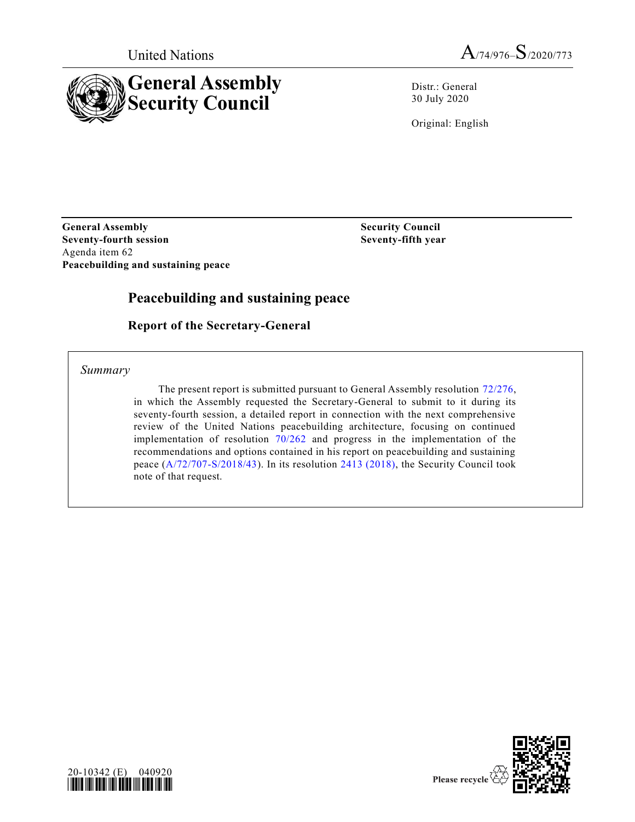



Distr.: General 30 July 2020

Original: English

**General Assembly Security Council Seventy-fourth session Seventy-fifth year** Agenda item 62 **Peacebuilding and sustaining peace**

# **Peacebuilding and sustaining peace**

**Report of the Secretary-General**

*Summary*

The present report is submitted pursuant to General Assembly resolution [72/276,](https://undocs.org/en/A/RES/72/276) in which the Assembly requested the Secretary-General to submit to it during its seventy-fourth session, a detailed report in connection with the next comprehensive review of the United Nations peacebuilding architecture, focusing on continued implementation of resolution [70/262](https://undocs.org/en/A/RES/70/262) and progress in the implementation of the recommendations and options contained in his report on peacebuilding and sustaining peace [\(A/72/707-S/2018/43\)](https://undocs.org/en/A/72/707–S/2018/43). In its resolution [2413 \(2018\),](https://undocs.org/en/S/RES/2413(2018)) the Security Council took note of that request.



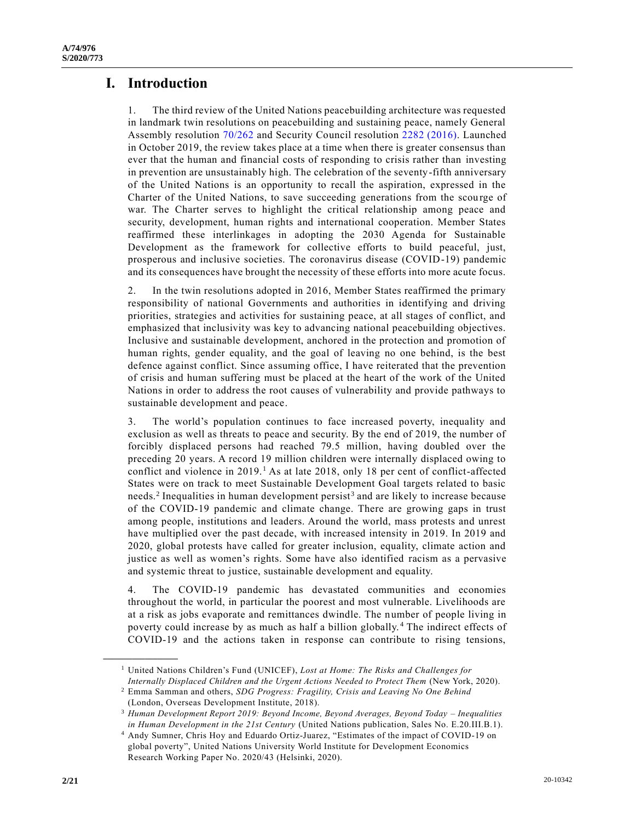# **I. Introduction**

1. The third review of the United Nations peacebuilding architecture was requested in landmark twin resolutions on peacebuilding and sustaining peace, namely General Assembly resolution [70/262](https://undocs.org/en/A/RES/70/262) and Security Council resolution [2282 \(2016\).](https://undocs.org/en/S/RES/2282(2016)) Launched in October 2019, the review takes place at a time when there is greater consensus than ever that the human and financial costs of responding to crisis rather than investing in prevention are unsustainably high. The celebration of the seventy-fifth anniversary of the United Nations is an opportunity to recall the aspiration, expressed in the Charter of the United Nations, to save succeeding generations from the scourge of war. The Charter serves to highlight the critical relationship among peace and security, development, human rights and international cooperation. Member States reaffirmed these interlinkages in adopting the 2030 Agenda for Sustainable Development as the framework for collective efforts to build peaceful, just, prosperous and inclusive societies. The coronavirus disease (COVID-19) pandemic and its consequences have brought the necessity of these efforts into more acute focus.

2. In the twin resolutions adopted in 2016, Member States reaffirmed the primary responsibility of national Governments and authorities in identifying and driving priorities, strategies and activities for sustaining peace, at all stages of conflict, and emphasized that inclusivity was key to advancing national peacebuilding objectives. Inclusive and sustainable development, anchored in the protection and promotion of human rights, gender equality, and the goal of leaving no one behind, is the best defence against conflict. Since assuming office, I have reiterated that the prevention of crisis and human suffering must be placed at the heart of the work of the United Nations in order to address the root causes of vulnerability and provide pathways to sustainable development and peace.

3. The world's population continues to face increased poverty, inequality and exclusion as well as threats to peace and security. By the end of 2019, the number of forcibly displaced persons had reached 79.5 million, having doubled over the preceding 20 years. A record 19 million children were internally displaced owing to conflict and violence in  $2019<sup>1</sup>$  As at late 2018, only 18 per cent of conflict-affected States were on track to meet Sustainable Development Goal targets related to basic needs.<sup>2</sup> Inequalities in human development persist<sup>3</sup> and are likely to increase because of the COVID-19 pandemic and climate change. There are growing gaps in trust among people, institutions and leaders. Around the world, mass protests and unrest have multiplied over the past decade, with increased intensity in 2019. In 2019 and 2020, global protests have called for greater inclusion, equality, climate action and justice as well as women's rights. Some have also identified racism as a pervasive and systemic threat to justice, sustainable development and equality.

4. The COVID-19 pandemic has devastated communities and economies throughout the world, in particular the poorest and most vulnerable. Livelihoods are at a risk as jobs evaporate and remittances dwindle. The number of people living in poverty could increase by as much as half a billion globally. <sup>4</sup> The indirect effects of COVID-19 and the actions taken in response can contribute to rising tensions,

<sup>1</sup> United Nations Children's Fund (UNICEF), *Lost at Home: The Risks and Challenges for Internally Displaced Children and the Urgent Actions Needed to Protect Them* (New York, 2020).

<sup>2</sup> Emma Samman and others, *SDG Progress: Fragility, Crisis and Leaving No One Behind*  (London, Overseas Development Institute, 2018).

<sup>3</sup> *Human Development Report 2019: Beyond Income, Beyond Averages, Beyond Today – Inequalities in Human Development in the 21st Century* (United Nations publication, Sales No. E.20.III.B.1).

<sup>4</sup> Andy Sumner, Chris Hoy and Eduardo Ortiz-Juarez, "Estimates of the impact of COVID-19 on global poverty", United Nations University World Institute for Development Economics Research Working Paper No. 2020/43 (Helsinki, 2020).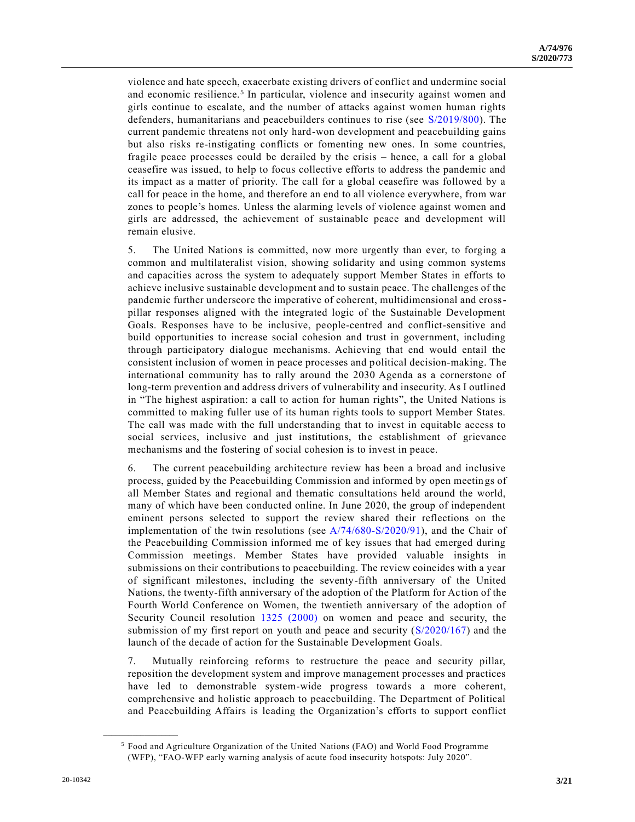violence and hate speech, exacerbate existing drivers of conflict and undermine social and economic resilience.<sup>5</sup> In particular, violence and insecurity against women and girls continue to escalate, and the number of attacks against women human rights defenders, humanitarians and peacebuilders continues to rise (see [S/2019/800\)](https://undocs.org/en/S/2019/800). The current pandemic threatens not only hard-won development and peacebuilding gains but also risks re-instigating conflicts or fomenting new ones. In some countries, fragile peace processes could be derailed by the crisis – hence, a call for a global ceasefire was issued, to help to focus collective efforts to address the pandemic and its impact as a matter of priority. The call for a global ceasefire was followed by a call for peace in the home, and therefore an end to all violence everywhere, from war zones to people's homes. Unless the alarming levels of violence against women and girls are addressed, the achievement of sustainable peace and development will remain elusive.

5. The United Nations is committed, now more urgently than ever, to forging a common and multilateralist vision, showing solidarity and using common systems and capacities across the system to adequately support Member States in efforts to achieve inclusive sustainable development and to sustain peace. The challenges of the pandemic further underscore the imperative of coherent, multidimensional and crosspillar responses aligned with the integrated logic of the Sustainable Development Goals. Responses have to be inclusive, people-centred and conflict-sensitive and build opportunities to increase social cohesion and trust in government, including through participatory dialogue mechanisms. Achieving that end would entail the consistent inclusion of women in peace processes and political decision-making. The international community has to rally around the 2030 Agenda as a cornerstone of long-term prevention and address drivers of vulnerability and insecurity. As I outlined in "The highest aspiration: a call to action for human rights", the United Nations is committed to making fuller use of its human rights tools to support Member States. The call was made with the full understanding that to invest in equitable access to social services, inclusive and just institutions, the establishment of grievance mechanisms and the fostering of social cohesion is to invest in peace.

6. The current peacebuilding architecture review has been a broad and inclusive process, guided by the Peacebuilding Commission and informed by open meetin gs of all Member States and regional and thematic consultations held around the world, many of which have been conducted online. In June 2020, the group of independent eminent persons selected to support the review shared their reflections on the implementation of the twin resolutions (see [A/74/680-S/2020/91\)](https://undocs.org/en/A/74/680), and the Chair of the Peacebuilding Commission informed me of key issues that had emerged during Commission meetings. Member States have provided valuable insights in submissions on their contributions to peacebuilding. The review coincides with a year of significant milestones, including the seventy-fifth anniversary of the United Nations, the twenty-fifth anniversary of the adoption of the Platform for Action of the Fourth World Conference on Women, the twentieth anniversary of the adoption of Security Council resolution [1325 \(2000\)](https://undocs.org/en/S/RES/1325(2000)) on women and peace and security, the submission of my first report on youth and peace and security [\(S/2020/167\)](https://undocs.org/en/S/2020/167) and the launch of the decade of action for the Sustainable Development Goals.

7. Mutually reinforcing reforms to restructure the peace and security pillar, reposition the development system and improve management processes and practices have led to demonstrable system-wide progress towards a more coherent, comprehensive and holistic approach to peacebuilding. The Department of Political and Peacebuilding Affairs is leading the Organization's efforts to support conflict

<sup>5</sup> Food and Agriculture Organization of the United Nations (FAO) and World Food Programme (WFP), "FAO-WFP early warning analysis of acute food insecurity hotspots: July 2020".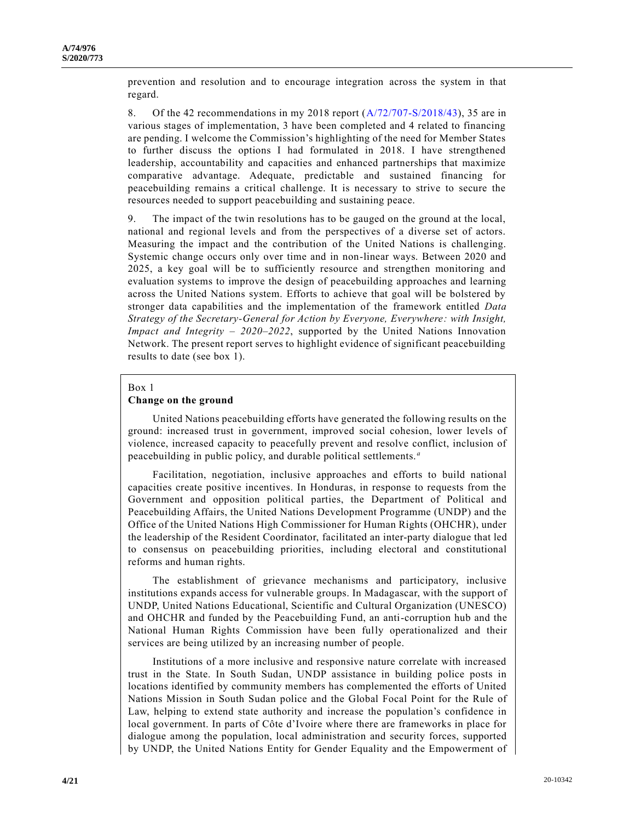prevention and resolution and to encourage integration across the system in that regard.

8. Of the 42 recommendations in my 2018 report [\(A/72/707-S/2018/43\)](https://undocs.org/en/A/72/707), 35 are in various stages of implementation, 3 have been completed and 4 related to financing are pending. I welcome the Commission's highlighting of the need for Member States to further discuss the options I had formulated in 2018. I have strengthened leadership, accountability and capacities and enhanced partnerships that maximize comparative advantage. Adequate, predictable and sustained financing for peacebuilding remains a critical challenge. It is necessary to strive to secure the resources needed to support peacebuilding and sustaining peace.

9. The impact of the twin resolutions has to be gauged on the ground at the local, national and regional levels and from the perspectives of a diverse set of actors. Measuring the impact and the contribution of the United Nations is challenging. Systemic change occurs only over time and in non-linear ways. Between 2020 and 2025, a key goal will be to sufficiently resource and strengthen monitoring and evaluation systems to improve the design of peacebuilding approaches and learning across the United Nations system. Efforts to achieve that goal will be bolstered by stronger data capabilities and the implementation of the framework entitled *Data Strategy of the Secretary-General for Action by Everyone, Everywhere: with Insight, Impact and Integrity – 2020–2022*, supported by the United Nations Innovation Network. The present report serves to highlight evidence of significant peacebuilding results to date (see box 1).

#### Box 1

### **Change on the ground**

United Nations peacebuilding efforts have generated the following results on the ground: increased trust in government, improved social cohesion, lower levels of violence, increased capacity to peacefully prevent and resolve conflict, inclusion of peacebuilding in public policy, and durable political settlements. *<sup>a</sup>*

Facilitation, negotiation, inclusive approaches and efforts to build national capacities create positive incentives. In Honduras, in response to requests from the Government and opposition political parties, the Department of Political and Peacebuilding Affairs, the United Nations Development Programme (UNDP) and the Office of the United Nations High Commissioner for Human Rights (OHCHR), under the leadership of the Resident Coordinator, facilitated an inter-party dialogue that led to consensus on peacebuilding priorities, including electoral and constitutional reforms and human rights.

The establishment of grievance mechanisms and participatory, inclusive institutions expands access for vulnerable groups. In Madagascar, with the support of UNDP, United Nations Educational, Scientific and Cultural Organization (UNESCO) and OHCHR and funded by the Peacebuilding Fund, an anti-corruption hub and the National Human Rights Commission have been fully operationalized and their services are being utilized by an increasing number of people.

Institutions of a more inclusive and responsive nature correlate with increased trust in the State. In South Sudan, UNDP assistance in building police posts in locations identified by community members has complemented the efforts of United Nations Mission in South Sudan police and the Global Focal Point for the Rule of Law, helping to extend state authority and increase the population's confidence in local government. In parts of Côte d'Ivoire where there are frameworks in place for dialogue among the population, local administration and security forces, supported by UNDP, the United Nations Entity for Gender Equality and the Empowerment of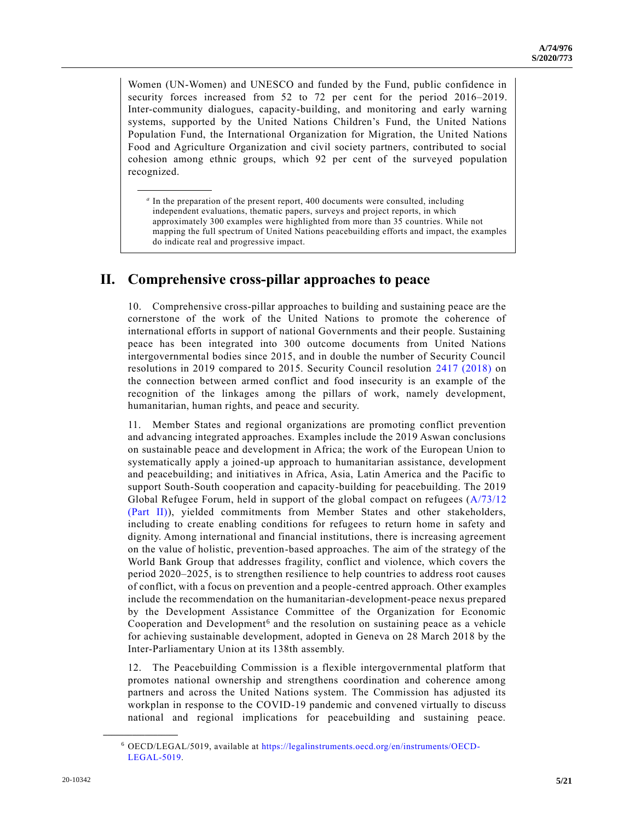Women (UN-Women) and UNESCO and funded by the Fund, public confidence in security forces increased from 52 to 72 per cent for the period 2016–2019. Inter-community dialogues, capacity-building, and monitoring and early warning systems, supported by the United Nations Children's Fund, the United Nations Population Fund, the International Organization for Migration, the United Nations Food and Agriculture Organization and civil society partners, contributed to social cohesion among ethnic groups, which 92 per cent of the surveyed population recognized.

*a* In the preparation of the present report, 400 documents were consulted, including independent evaluations, thematic papers, surveys and project reports, in which approximately 300 examples were highlighted from more than 35 countries. While not mapping the full spectrum of United Nations peacebuilding efforts and impact, the examples do indicate real and progressive impact.

# **II. Comprehensive cross-pillar approaches to peace**

10. Comprehensive cross-pillar approaches to building and sustaining peace are the cornerstone of the work of the United Nations to promote the coherence of international efforts in support of national Governments and their people. Sustaining peace has been integrated into 300 outcome documents from United Nations intergovernmental bodies since 2015, and in double the number of Security Council resolutions in 2019 compared to 2015. Security Council resolution [2417 \(2018\)](https://undocs.org/en/S/RES/2417(2018)) on the connection between armed conflict and food insecurity is an example of the recognition of the linkages among the pillars of work, namely development, humanitarian, human rights, and peace and security.

11. Member States and regional organizations are promoting conflict prevention and advancing integrated approaches. Examples include the 2019 Aswan conclusions on sustainable peace and development in Africa; the work of the European Union to systematically apply a joined-up approach to humanitarian assistance, development and peacebuilding; and initiatives in Africa, Asia, Latin America and the Pacific to support South-South cooperation and capacity-building for peacebuilding. The 2019 Global Refugee Forum, held in support of the global compact on refugees [\(A/73/12](https://undocs.org/en/A/73/12(PartII))  [\(Part II\)\)](https://undocs.org/en/A/73/12(PartII)), yielded commitments from Member States and other stakeholders, including to create enabling conditions for refugees to return home in safety and dignity. Among international and financial institutions, there is increasing agreement on the value of holistic, prevention-based approaches. The aim of the strategy of the World Bank Group that addresses fragility, conflict and violence, which covers the period 2020–2025, is to strengthen resilience to help countries to address root causes of conflict, with a focus on prevention and a people-centred approach. Other examples include the recommendation on the humanitarian-development-peace nexus prepared by the Development Assistance Committee of the Organization for Economic Cooperation and Development<sup>6</sup> and the resolution on sustaining peace as a vehicle for achieving sustainable development, adopted in Geneva on 28 March 2018 by the Inter-Parliamentary Union at its 138th assembly.

12. The Peacebuilding Commission is a flexible intergovernmental platform that promotes national ownership and strengthens coordination and coherence among partners and across the United Nations system. The Commission has adjusted its workplan in response to the COVID-19 pandemic and convened virtually to discuss national and regional implications for peacebuilding and sustaining peace.

<sup>6</sup> OECD/LEGAL/5019, available at [https://legalinstruments.oecd.org/en/instruments/OECD-](https://legalinstruments.oecd.org/en/instruments/OECD-LEGAL-5019)[LEGAL-5019.](https://legalinstruments.oecd.org/en/instruments/OECD-LEGAL-5019)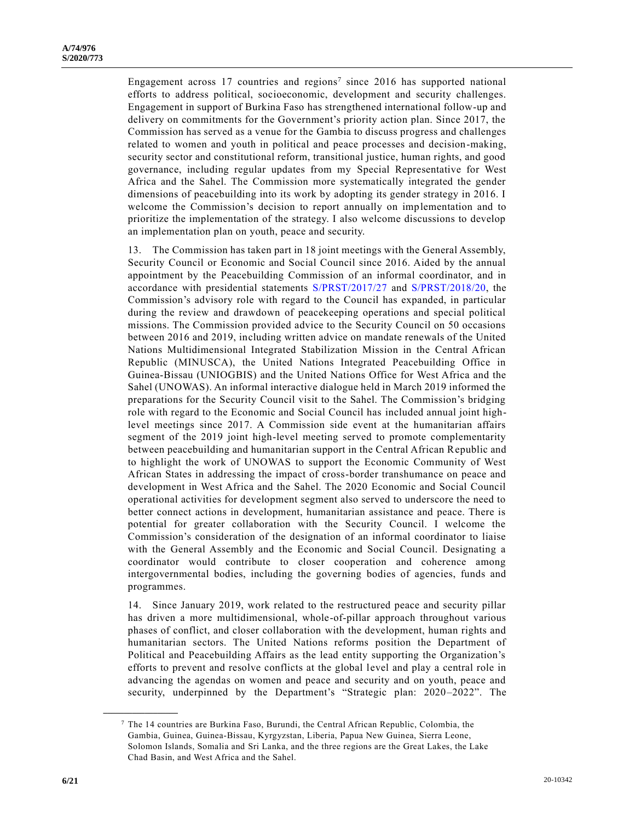Engagement across 17 countries and regions<sup>7</sup> since 2016 has supported national efforts to address political, socioeconomic, development and security challenges. Engagement in support of Burkina Faso has strengthened international follow-up and delivery on commitments for the Government's priority action plan. Since 2017, the Commission has served as a venue for the Gambia to discuss progress and challenges related to women and youth in political and peace processes and decision-making, security sector and constitutional reform, transitional justice, human rights, and good governance, including regular updates from my Special Representative for West Africa and the Sahel. The Commission more systematically integrated the gender dimensions of peacebuilding into its work by adopting its gender strategy in 2016. I welcome the Commission's decision to report annually on implementation and to prioritize the implementation of the strategy. I also welcome discussions to develop an implementation plan on youth, peace and security.

13. The Commission has taken part in 18 joint meetings with the General Assembly, Security Council or Economic and Social Council since 2016. Aided by the annual appointment by the Peacebuilding Commission of an informal coordinator, and in accordance with presidential statements [S/PRST/2017/27](https://undocs.org/en/S/PRST/2017/27) and [S/PRST/2018/20,](https://undocs.org/en/S/PRST/2018/20) the Commission's advisory role with regard to the Council has expanded, in particular during the review and drawdown of peacekeeping operations and special political missions. The Commission provided advice to the Security Council on 50 occasions between 2016 and 2019, including written advice on mandate renewals of the United Nations Multidimensional Integrated Stabilization Mission in the Central African Republic (MINUSCA), the United Nations Integrated Peacebuilding Office in Guinea-Bissau (UNIOGBIS) and the United Nations Office for West Africa and the Sahel (UNOWAS). An informal interactive dialogue held in March 2019 informed the preparations for the Security Council visit to the Sahel. The Commission's bridging role with regard to the Economic and Social Council has included annual joint highlevel meetings since 2017. A Commission side event at the humanitarian affairs segment of the 2019 joint high-level meeting served to promote complementarity between peacebuilding and humanitarian support in the Central African Republic and to highlight the work of UNOWAS to support the Economic Community of West African States in addressing the impact of cross-border transhumance on peace and development in West Africa and the Sahel. The 2020 Economic and Social Council operational activities for development segment also served to underscore the need to better connect actions in development, humanitarian assistance and peace. There is potential for greater collaboration with the Security Council. I welcome the Commission's consideration of the designation of an informal coordinator to liaise with the General Assembly and the Economic and Social Council. Designating a coordinator would contribute to closer cooperation and coherence among intergovernmental bodies, including the governing bodies of agencies, funds and programmes.

14. Since January 2019, work related to the restructured peace and security pillar has driven a more multidimensional, whole-of-pillar approach throughout various phases of conflict, and closer collaboration with the development, human rights and humanitarian sectors. The United Nations reforms position the Department of Political and Peacebuilding Affairs as the lead entity supporting the Organization's efforts to prevent and resolve conflicts at the global level and play a central role in advancing the agendas on women and peace and security and on youth, peace and security, underpinned by the Department's "Strategic plan: 2020–2022". The

 $7$  The 14 countries are Burkina Faso, Burundi, the Central African Republic, Colombia, the Gambia, Guinea, Guinea-Bissau, Kyrgyzstan, Liberia, Papua New Guinea, Sierra Leone, Solomon Islands, Somalia and Sri Lanka, and the three regions are the Great Lakes, the Lake Chad Basin, and West Africa and the Sahel.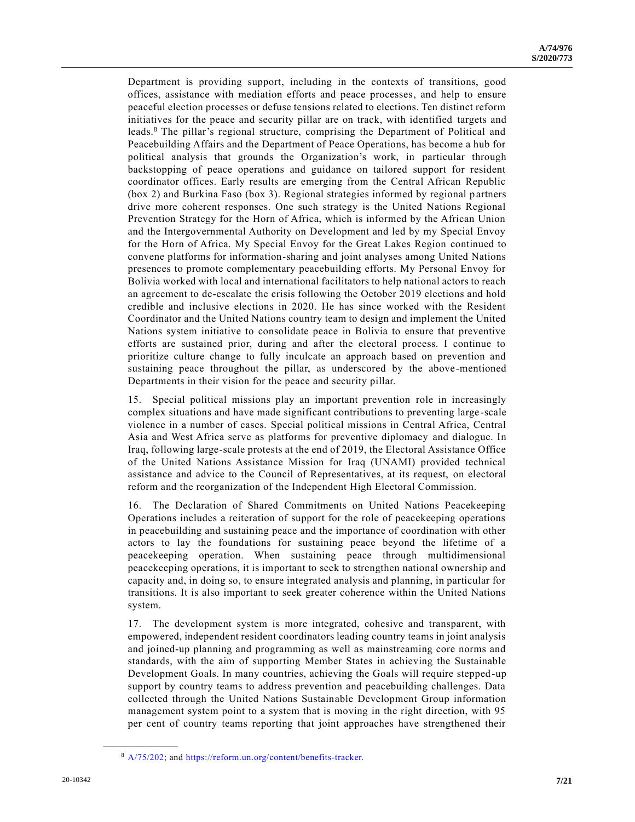Department is providing support, including in the contexts of transitions, good offices, assistance with mediation efforts and peace processes, and help to ensure peaceful election processes or defuse tensions related to elections. Ten distinct reform initiatives for the peace and security pillar are on track, with identified targets and leads.<sup>8</sup> The pillar's regional structure, comprising the Department of Political and Peacebuilding Affairs and the Department of Peace Operations, has become a hub for political analysis that grounds the Organization's work, in particular through backstopping of peace operations and guidance on tailored support for resident coordinator offices. Early results are emerging from the Central African Republic (box 2) and Burkina Faso (box 3). Regional strategies informed by regional p artners drive more coherent responses. One such strategy is the United Nations Regional Prevention Strategy for the Horn of Africa, which is informed by the African Union and the Intergovernmental Authority on Development and led by my Special Envoy for the Horn of Africa. My Special Envoy for the Great Lakes Region continued to convene platforms for information-sharing and joint analyses among United Nations presences to promote complementary peacebuilding efforts. My Personal Envoy for Bolivia worked with local and international facilitators to help national actors to reach an agreement to de-escalate the crisis following the October 2019 elections and hold credible and inclusive elections in 2020. He has since worked with the Resident Coordinator and the United Nations country team to design and implement the United Nations system initiative to consolidate peace in Bolivia to ensure that preventive efforts are sustained prior, during and after the electoral process. I continue to prioritize culture change to fully inculcate an approach based on prevention and sustaining peace throughout the pillar, as underscored by the above-mentioned Departments in their vision for the peace and security pillar.

15. Special political missions play an important prevention role in increasingly complex situations and have made significant contributions to preventing large -scale violence in a number of cases. Special political missions in Central Africa, Central Asia and West Africa serve as platforms for preventive diplomacy and dialogue. In Iraq, following large-scale protests at the end of 2019, the Electoral Assistance Office of the United Nations Assistance Mission for Iraq (UNAMI) provided technical assistance and advice to the Council of Representatives, at its request, on electoral reform and the reorganization of the Independent High Electoral Commission.

16. The Declaration of Shared Commitments on United Nations Peacekeeping Operations includes a reiteration of support for the role of peacekeeping operations in peacebuilding and sustaining peace and the importance of coordination with other actors to lay the foundations for sustaining peace beyond the lifetime of a peacekeeping operation. When sustaining peace through multidimensional peacekeeping operations, it is important to seek to strengthen national ownership and capacity and, in doing so, to ensure integrated analysis and planning, in particular for transitions. It is also important to seek greater coherence within the United Nations system.

17. The development system is more integrated, cohesive and transparent, with empowered, independent resident coordinators leading country teams in joint analysis and joined-up planning and programming as well as mainstreaming core norms and standards, with the aim of supporting Member States in achieving the Sustainable Development Goals. In many countries, achieving the Goals will require stepped-up support by country teams to address prevention and peacebuilding challenges. Data collected through the United Nations Sustainable Development Group information management system point to a system that is moving in the right direction, with 95 per cent of country teams reporting that joint approaches have strengthened their

<sup>8</sup> [A/75/202;](https://undocs.org/en/A/75/202) and [https://reform.un.org/content/benefits-tracker.](https://reform.un.org/content/benefits-tracker)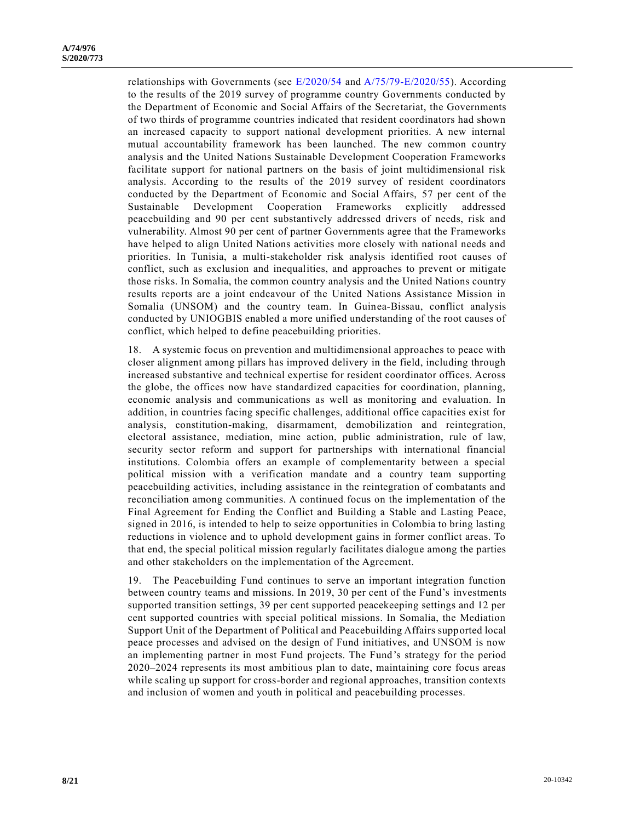relationships with Governments (see [E/2020/54](https://undocs.org/en/E/2020/54) and [A/75/79-E/2020/55\)](https://undocs.org/en/A/75/79). According to the results of the 2019 survey of programme country Governments conducted by the Department of Economic and Social Affairs of the Secretariat, the Governments of two thirds of programme countries indicated that resident coordinators had shown an increased capacity to support national development priorities. A new internal mutual accountability framework has been launched. The new common country analysis and the United Nations Sustainable Development Cooperation Frameworks facilitate support for national partners on the basis of joint multidimensional risk analysis. According to the results of the 2019 survey of resident coordinators conducted by the Department of Economic and Social Affairs, 57 per cent of the Sustainable Development Cooperation Frameworks explicitly addressed peacebuilding and 90 per cent substantively addressed drivers of needs, risk and vulnerability. Almost 90 per cent of partner Governments agree that the Frameworks have helped to align United Nations activities more closely with national needs and priorities. In Tunisia, a multi-stakeholder risk analysis identified root causes of conflict, such as exclusion and inequalities, and approaches to prevent or mitigate those risks. In Somalia, the common country analysis and the United Nations country results reports are a joint endeavour of the United Nations Assistance Mission in Somalia (UNSOM) and the country team. In Guinea-Bissau, conflict analysis conducted by UNIOGBIS enabled a more unified understanding of the root causes of conflict, which helped to define peacebuilding priorities.

18. A systemic focus on prevention and multidimensional approaches to peace with closer alignment among pillars has improved delivery in the field, including through increased substantive and technical expertise for resident coordinator offices. Across the globe, the offices now have standardized capacities for coordination, planning, economic analysis and communications as well as monitoring and evaluation. In addition, in countries facing specific challenges, additional office capacities exist for analysis, constitution-making, disarmament, demobilization and reintegration, electoral assistance, mediation, mine action, public administration, rule of law, security sector reform and support for partnerships with international financial institutions. Colombia offers an example of complementarity between a special political mission with a verification mandate and a country team supporting peacebuilding activities, including assistance in the reintegration of combatants and reconciliation among communities. A continued focus on the implementation of the Final Agreement for Ending the Conflict and Building a Stable and Lasting Peace, signed in 2016, is intended to help to seize opportunities in Colombia to bring lasting reductions in violence and to uphold development gains in former conflict areas. To that end, the special political mission regularly facilitates dialogue among the parties and other stakeholders on the implementation of the Agreement.

19. The Peacebuilding Fund continues to serve an important integration function between country teams and missions. In 2019, 30 per cent of the Fund's investments supported transition settings, 39 per cent supported peacekeeping settings and 12 per cent supported countries with special political missions. In Somalia, the Mediation Support Unit of the Department of Political and Peacebuilding Affairs supported local peace processes and advised on the design of Fund initiatives, and UNSOM is now an implementing partner in most Fund projects. The Fund's strategy for the period 2020–2024 represents its most ambitious plan to date, maintaining core focus areas while scaling up support for cross-border and regional approaches, transition contexts and inclusion of women and youth in political and peacebuilding processes.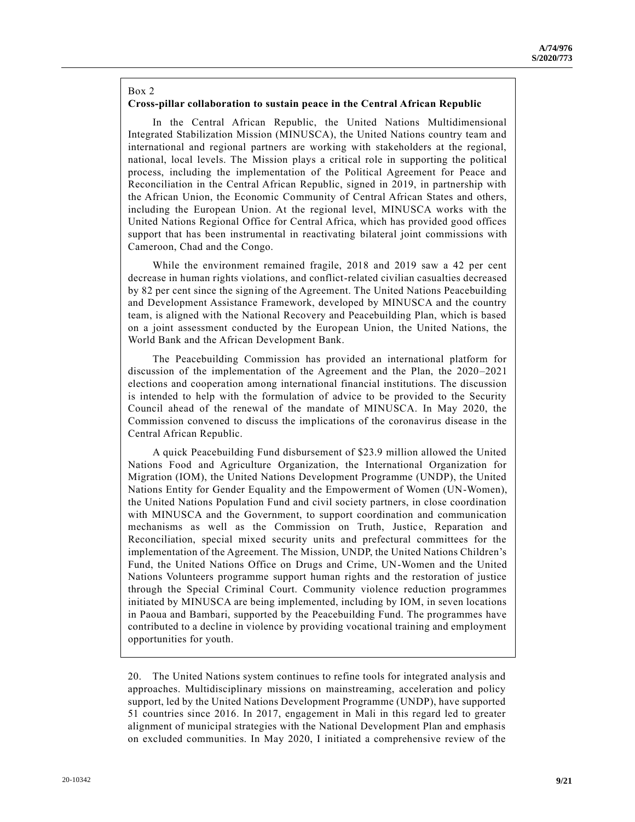## Box 2

## **Cross-pillar collaboration to sustain peace in the Central African Republic**

In the Central African Republic, the United Nations Multidimensional Integrated Stabilization Mission (MINUSCA), the United Nations country team and international and regional partners are working with stakeholders at the regional, national, local levels. The Mission plays a critical role in supporting the political process, including the implementation of the Political Agreement for Peace and Reconciliation in the Central African Republic, signed in 2019, in partnership with the African Union, the Economic Community of Central African States and others, including the European Union. At the regional level, MINUSCA works with the United Nations Regional Office for Central Africa, which has provided good offices support that has been instrumental in reactivating bilateral joint commissions with Cameroon, Chad and the Congo.

While the environment remained fragile, 2018 and 2019 saw a 42 per cent decrease in human rights violations, and conflict-related civilian casualties decreased by 82 per cent since the signing of the Agreement. The United Nations Peacebuilding and Development Assistance Framework, developed by MINUSCA and the country team, is aligned with the National Recovery and Peacebuilding Plan, which is based on a joint assessment conducted by the European Union, the United Nations, the World Bank and the African Development Bank.

The Peacebuilding Commission has provided an international platform for discussion of the implementation of the Agreement and the Plan, the 2020–2021 elections and cooperation among international financial institutions. The discussion is intended to help with the formulation of advice to be provided to the Security Council ahead of the renewal of the mandate of MINUSCA. In May 2020, the Commission convened to discuss the implications of the coronavirus disease in the Central African Republic.

A quick Peacebuilding Fund disbursement of \$23.9 million allowed the United Nations Food and Agriculture Organization, the International Organization for Migration (IOM), the United Nations Development Programme (UNDP), the United Nations Entity for Gender Equality and the Empowerment of Women (UN-Women), the United Nations Population Fund and civil society partners, in close coordination with MINUSCA and the Government, to support coordination and communication mechanisms as well as the Commission on Truth, Justice, Reparation and Reconciliation, special mixed security units and prefectural committees for the implementation of the Agreement. The Mission, UNDP, the United Nations Children's Fund, the United Nations Office on Drugs and Crime, UN-Women and the United Nations Volunteers programme support human rights and the restoration of justice through the Special Criminal Court. Community violence reduction programmes initiated by MINUSCA are being implemented, including by IOM, in seven locations in Paoua and Bambari, supported by the Peacebuilding Fund. The programmes have contributed to a decline in violence by providing vocational training and employment opportunities for youth.

20. The United Nations system continues to refine tools for integrated analysis and approaches. Multidisciplinary missions on mainstreaming, acceleration and policy support, led by the United Nations Development Programme (UNDP), have supported 51 countries since 2016. In 2017, engagement in Mali in this regard led to greater alignment of municipal strategies with the National Development Plan and emphasis on excluded communities. In May 2020, I initiated a comprehensive review of the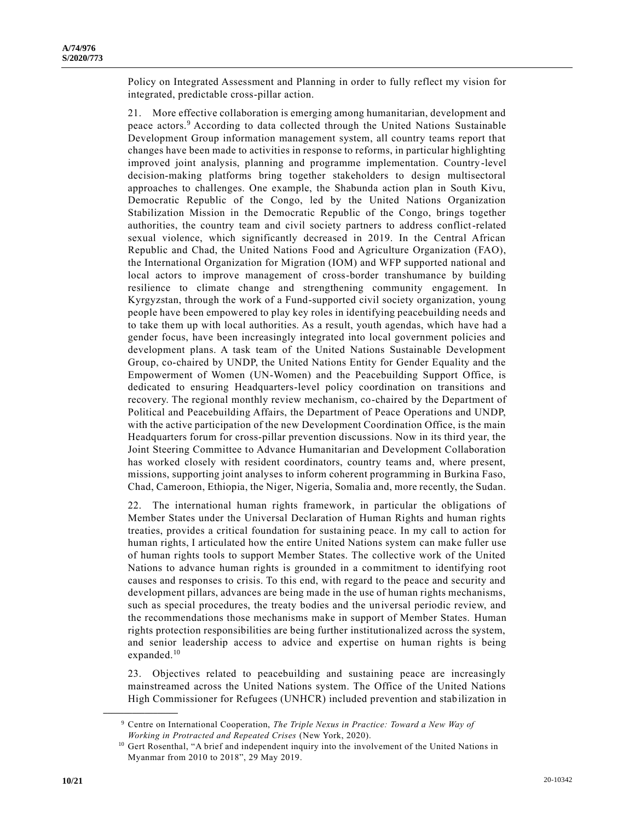Policy on Integrated Assessment and Planning in order to fully reflect my vision for integrated, predictable cross-pillar action.

21. More effective collaboration is emerging among humanitarian, development and peace actors.<sup>9</sup> According to data collected through the United Nations Sustainable Development Group information management system, all country teams report that changes have been made to activities in response to reforms, in particular highlighting improved joint analysis, planning and programme implementation. Country-level decision-making platforms bring together stakeholders to design multisectoral approaches to challenges. One example, the Shabunda action plan in South Kivu, Democratic Republic of the Congo, led by the United Nations Organization Stabilization Mission in the Democratic Republic of the Congo, brings together authorities, the country team and civil society partners to address conflict-related sexual violence, which significantly decreased in 2019. In the Central African Republic and Chad, the United Nations Food and Agriculture Organization (FAO), the International Organization for Migration (IOM) and WFP supported national and local actors to improve management of cross-border transhumance by building resilience to climate change and strengthening community engagement. In Kyrgyzstan, through the work of a Fund-supported civil society organization, young people have been empowered to play key roles in identifying peacebuilding needs and to take them up with local authorities. As a result, youth agendas, which have had a gender focus, have been increasingly integrated into local government policies and development plans. A task team of the United Nations Sustainable Development Group, co-chaired by UNDP, the United Nations Entity for Gender Equality and the Empowerment of Women (UN-Women) and the Peacebuilding Support Office, is dedicated to ensuring Headquarters-level policy coordination on transitions and recovery. The regional monthly review mechanism, co-chaired by the Department of Political and Peacebuilding Affairs, the Department of Peace Operations and UNDP, with the active participation of the new Development Coordination Office, is the main Headquarters forum for cross-pillar prevention discussions. Now in its third year, the Joint Steering Committee to Advance Humanitarian and Development Collaboration has worked closely with resident coordinators, country teams and, where present, missions, supporting joint analyses to inform coherent programming in Burkina Faso, Chad, Cameroon, Ethiopia, the Niger, Nigeria, Somalia and, more recently, the Sudan.

22. The international human rights framework, in particular the obligations of Member States under the Universal Declaration of Human Rights and human rights treaties, provides a critical foundation for sustaining peace. In my call to action for human rights, I articulated how the entire United Nations system can make fuller use of human rights tools to support Member States. The collective work of the United Nations to advance human rights is grounded in a commitment to identifying root causes and responses to crisis. To this end, with regard to the peace and security and development pillars, advances are being made in the use of human rights mechanisms, such as special procedures, the treaty bodies and the universal periodic review, and the recommendations those mechanisms make in support of Member States. Human rights protection responsibilities are being further institutionalized across the system, and senior leadership access to advice and expertise on human rights is being expanded.<sup>10</sup>

23. Objectives related to peacebuilding and sustaining peace are increasingly mainstreamed across the United Nations system. The Office of the United Nations High Commissioner for Refugees (UNHCR) included prevention and stabilization in

<sup>9</sup> Centre on International Cooperation, *The Triple Nexus in Practice: Toward a New Way of Working in Protracted and Repeated Crises* (New York, 2020).

<sup>&</sup>lt;sup>10</sup> Gert Rosenthal, "A brief and independent inquiry into the involvement of the United Nations in Myanmar from 2010 to 2018", 29 May 2019.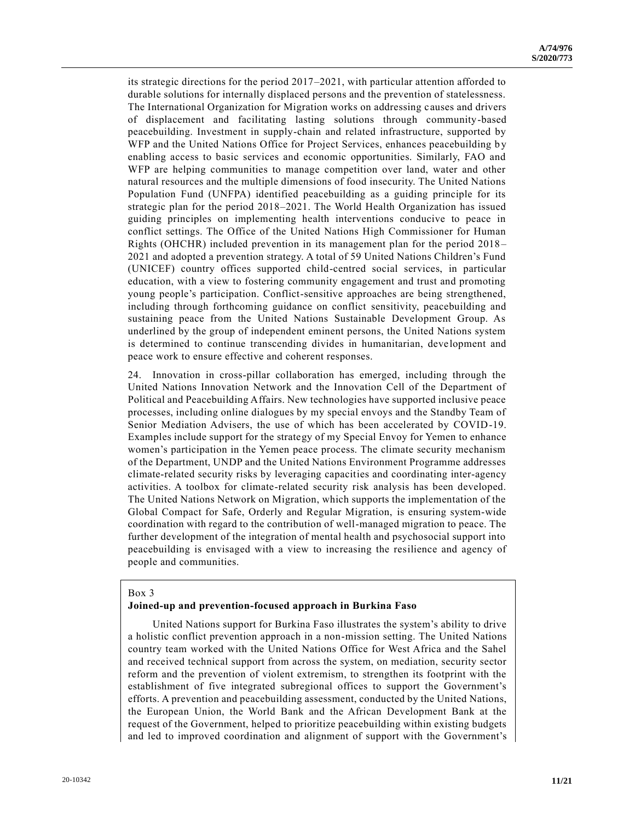its strategic directions for the period 2017–2021, with particular attention afforded to durable solutions for internally displaced persons and the prevention of statelessness. The International Organization for Migration works on addressing c auses and drivers of displacement and facilitating lasting solutions through community-based peacebuilding. Investment in supply-chain and related infrastructure, supported by WFP and the United Nations Office for Project Services, enhances peacebuilding by enabling access to basic services and economic opportunities. Similarly, FAO and WFP are helping communities to manage competition over land, water and other natural resources and the multiple dimensions of food insecurity. The United Nations Population Fund (UNFPA) identified peacebuilding as a guiding principle for its strategic plan for the period 2018–2021. The World Health Organization has issued guiding principles on implementing health interventions conducive to peace in conflict settings. The Office of the United Nations High Commissioner for Human Rights (OHCHR) included prevention in its management plan for the period 2018 – 2021 and adopted a prevention strategy. A total of 59 United Nations Children's Fund (UNICEF) country offices supported child-centred social services, in particular education, with a view to fostering community engagement and trust and promoting young people's participation. Conflict-sensitive approaches are being strengthened, including through forthcoming guidance on conflict sensitivity, peacebuilding and sustaining peace from the United Nations Sustainable Development Group. As underlined by the group of independent eminent persons, the United Nations system is determined to continue transcending divides in humanitarian, development and peace work to ensure effective and coherent responses.

24. Innovation in cross-pillar collaboration has emerged, including through the United Nations Innovation Network and the Innovation Cell of the Department of Political and Peacebuilding Affairs. New technologies have supported inclusive peace processes, including online dialogues by my special envoys and the Standby Team of Senior Mediation Advisers, the use of which has been accelerated by COVID-19. Examples include support for the strategy of my Special Envoy for Yemen to enhance women's participation in the Yemen peace process. The climate security mechanism of the Department, UNDP and the United Nations Environment Programme addresses climate-related security risks by leveraging capacities and coordinating inter-agency activities. A toolbox for climate-related security risk analysis has been developed. The United Nations Network on Migration, which supports the implementation of the Global Compact for Safe, Orderly and Regular Migration, is ensuring system-wide coordination with regard to the contribution of well-managed migration to peace. The further development of the integration of mental health and psychosocial support into peacebuilding is envisaged with a view to increasing the resilience and agency of people and communities.

#### Box 3

## **Joined-up and prevention-focused approach in Burkina Faso**

United Nations support for Burkina Faso illustrates the system's ability to drive a holistic conflict prevention approach in a non-mission setting. The United Nations country team worked with the United Nations Office for West Africa and the Sahel and received technical support from across the system, on mediation, security sector reform and the prevention of violent extremism, to strengthen its footprint with the establishment of five integrated subregional offices to support the Government's efforts. A prevention and peacebuilding assessment, conducted by the United Nations, the European Union, the World Bank and the African Development Bank at the request of the Government, helped to prioritize peacebuilding within existing budgets and led to improved coordination and alignment of support with the Government's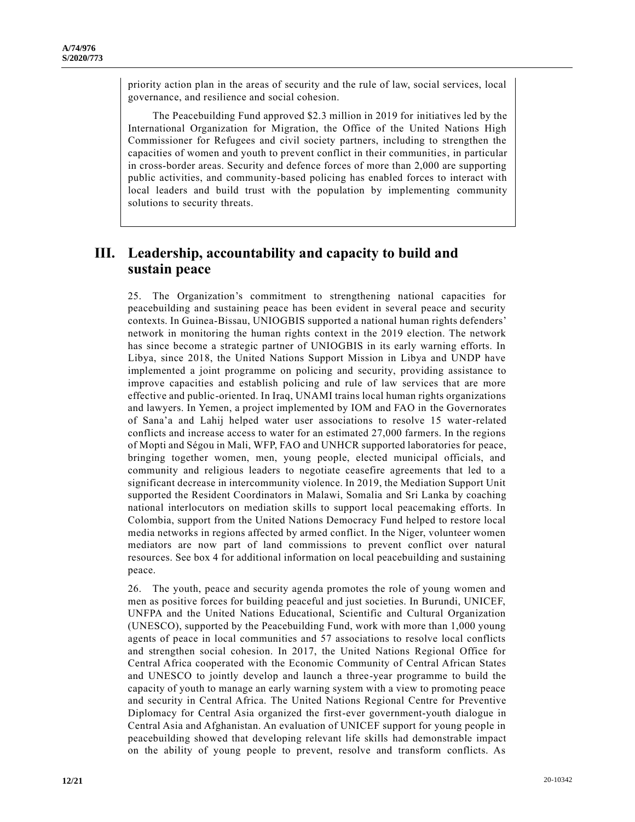priority action plan in the areas of security and the rule of law, social services, local governance, and resilience and social cohesion.

The Peacebuilding Fund approved \$2.3 million in 2019 for initiatives led by the International Organization for Migration, the Office of the United Nations High Commissioner for Refugees and civil society partners, including to strengthen the capacities of women and youth to prevent conflict in their communities, in particular in cross-border areas. Security and defence forces of more than 2,000 are supporting public activities, and community-based policing has enabled forces to interact with local leaders and build trust with the population by implementing community solutions to security threats.

## **III. Leadership, accountability and capacity to build and sustain peace**

25. The Organization's commitment to strengthening national capacities for peacebuilding and sustaining peace has been evident in several peace and security contexts. In Guinea-Bissau, UNIOGBIS supported a national human rights defenders' network in monitoring the human rights context in the 2019 election. The network has since become a strategic partner of UNIOGBIS in its early warning efforts. In Libya, since 2018, the United Nations Support Mission in Libya and UNDP have implemented a joint programme on policing and security, providing assistance to improve capacities and establish policing and rule of law services that are more effective and public-oriented. In Iraq, UNAMI trains local human rights organizations and lawyers. In Yemen, a project implemented by IOM and FAO in the Governorates of Sana'a and Lahij helped water user associations to resolve 15 water-related conflicts and increase access to water for an estimated 27,000 farmers. In the regions of Mopti and Ségou in Mali, WFP, FAO and UNHCR supported laboratories for peace, bringing together women, men, young people, elected municipal officials, and community and religious leaders to negotiate ceasefire agreements that led to a significant decrease in intercommunity violence. In 2019, the Mediation Support Unit supported the Resident Coordinators in Malawi, Somalia and Sri Lanka by coaching national interlocutors on mediation skills to support local peacemaking efforts. In Colombia, support from the United Nations Democracy Fund helped to restore local media networks in regions affected by armed conflict. In the Niger, volunteer women mediators are now part of land commissions to prevent conflict over natural resources. See box 4 for additional information on local peacebuilding and sustaining peace.

26. The youth, peace and security agenda promotes the role of young women and men as positive forces for building peaceful and just societies. In Burundi, UNICEF, UNFPA and the United Nations Educational, Scientific and Cultural Organization (UNESCO), supported by the Peacebuilding Fund, work with more than 1,000 young agents of peace in local communities and 57 associations to resolve local conflicts and strengthen social cohesion. In 2017, the United Nations Regional Office for Central Africa cooperated with the Economic Community of Central African States and UNESCO to jointly develop and launch a three-year programme to build the capacity of youth to manage an early warning system with a view to promoting peace and security in Central Africa. The United Nations Regional Centre for Preventive Diplomacy for Central Asia organized the first-ever government-youth dialogue in Central Asia and Afghanistan. An evaluation of UNICEF support for young people in peacebuilding showed that developing relevant life skills had demonstrable impact on the ability of young people to prevent, resolve and transform conflicts. As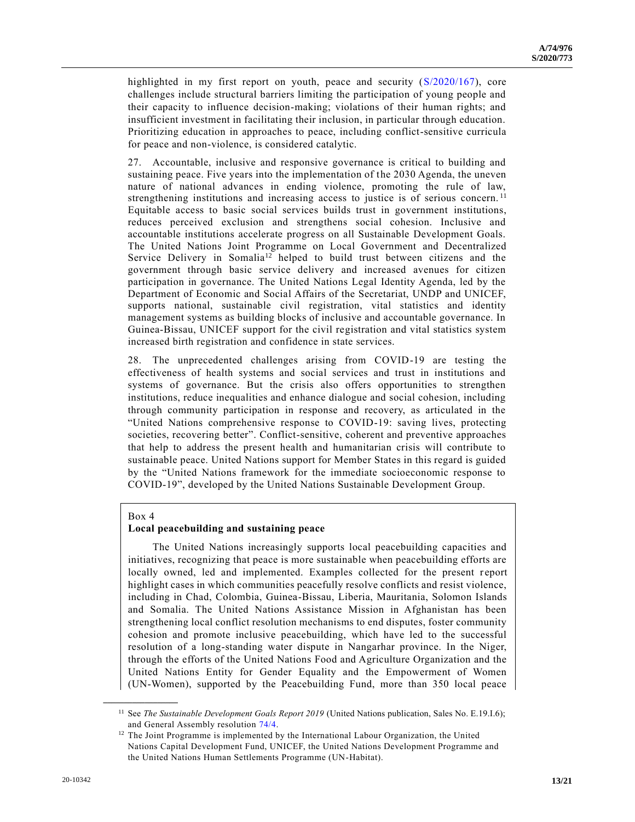highlighted in my first report on youth, peace and security [\(S/2020/167\)](https://undocs.org/en/S/2020/167), core challenges include structural barriers limiting the participation of young people and their capacity to influence decision-making; violations of their human rights; and insufficient investment in facilitating their inclusion, in particular through education. Prioritizing education in approaches to peace, including conflict-sensitive curricula for peace and non-violence, is considered catalytic.

27. Accountable, inclusive and responsive governance is critical to building and sustaining peace. Five years into the implementation of the 2030 Agenda, the uneven nature of national advances in ending violence, promoting the rule of law, strengthening institutions and increasing access to justice is of serious concern. <sup>11</sup> Equitable access to basic social services builds trust in government institutions, reduces perceived exclusion and strengthens social cohesion. Inclusive and accountable institutions accelerate progress on all Sustainable Development Goals. The United Nations Joint Programme on Local Government and Decentralized Service Delivery in Somalia<sup>12</sup> helped to build trust between citizens and the government through basic service delivery and increased avenues for citizen participation in governance. The United Nations Legal Identity Agenda, led by the Department of Economic and Social Affairs of the Secretariat, UNDP and UNICEF, supports national, sustainable civil registration, vital statistics and identity management systems as building blocks of inclusive and accountable governance. In Guinea-Bissau, UNICEF support for the civil registration and vital statistics system increased birth registration and confidence in state services.

28. The unprecedented challenges arising from COVID-19 are testing the effectiveness of health systems and social services and trust in institutions and systems of governance. But the crisis also offers opportunities to strengthen institutions, reduce inequalities and enhance dialogue and social cohesion, including through community participation in response and recovery, as articulated in the "United Nations comprehensive response to COVID-19: saving lives, protecting societies, recovering better". Conflict-sensitive, coherent and preventive approaches that help to address the present health and humanitarian crisis will contribute to sustainable peace. United Nations support for Member States in this regard is guided by the "United Nations framework for the immediate socioeconomic response to COVID-19", developed by the United Nations Sustainable Development Group.

### Box 4

**\_\_\_\_\_\_\_\_\_\_\_\_\_\_\_\_\_\_**

### **Local peacebuilding and sustaining peace**

The United Nations increasingly supports local peacebuilding capacities and initiatives, recognizing that peace is more sustainable when peacebuilding efforts are locally owned, led and implemented. Examples collected for the present report highlight cases in which communities peacefully resolve conflicts and resist violence, including in Chad, Colombia, Guinea-Bissau, Liberia, Mauritania, Solomon Islands and Somalia. The United Nations Assistance Mission in Afghanistan has been strengthening local conflict resolution mechanisms to end disputes, foster community cohesion and promote inclusive peacebuilding, which have led to the successful resolution of a long-standing water dispute in Nangarhar province. In the Niger, through the efforts of the United Nations Food and Agriculture Organization and the United Nations Entity for Gender Equality and the Empowerment of Women (UN-Women), supported by the Peacebuilding Fund, more than 350 local peace

<sup>&</sup>lt;sup>11</sup> See *The Sustainable Development Goals Report 2019* (United Nations publication, Sales No. E.19.I.6); and General Assembly resolution [74/4.](https://undocs.org/en/A/RES/74/4)

<sup>&</sup>lt;sup>12</sup> The Joint Programme is implemented by the International Labour Organization, the United Nations Capital Development Fund, UNICEF, the United Nations Development Programme and the United Nations Human Settlements Programme (UN-Habitat).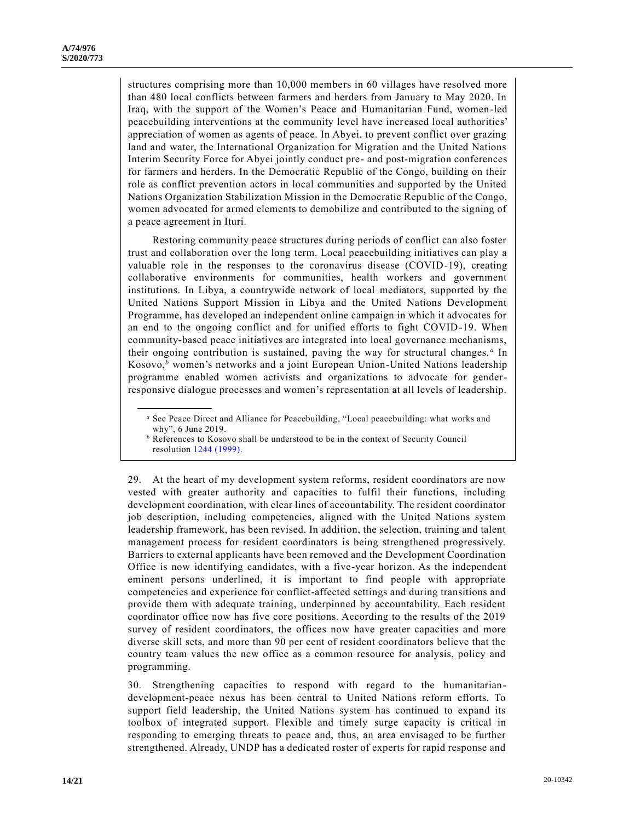structures comprising more than 10,000 members in 60 villages have resolved more than 480 local conflicts between farmers and herders from January to May 2020. In Iraq, with the support of the Women's Peace and Humanitarian Fund, women-led peacebuilding interventions at the community level have increased local authorities' appreciation of women as agents of peace. In Abyei, to prevent conflict over grazing land and water, the International Organization for Migration and the United Nations Interim Security Force for Abyei jointly conduct pre- and post-migration conferences for farmers and herders. In the Democratic Republic of the Congo, building on their role as conflict prevention actors in local communities and supported by the United Nations Organization Stabilization Mission in the Democratic Republic of the Congo, women advocated for armed elements to demobilize and contributed to the signing of a peace agreement in Ituri.

Restoring community peace structures during periods of conflict can also foster trust and collaboration over the long term. Local peacebuilding initiatives can play a valuable role in the responses to the coronavirus disease (COVID-19), creating collaborative environments for communities, health workers and government institutions. In Libya, a countrywide network of local mediators, supported by the United Nations Support Mission in Libya and the United Nations Development Programme, has developed an independent online campaign in which it advocates for an end to the ongoing conflict and for unified efforts to fight COVID-19. When community-based peace initiatives are integrated into local governance mechanisms, their ongoing contribution is sustained, paving the way for structural changes. *<sup>a</sup>* In Kosovo,*<sup>b</sup>* women's networks and a joint European Union-United Nations leadership programme enabled women activists and organizations to advocate for genderresponsive dialogue processes and women's representation at all levels of leadership.

*<sup>a</sup>* See Peace Direct and Alliance for Peacebuilding, "Local peacebuilding: what works and why", 6 June 2019.

29. At the heart of my development system reforms, resident coordinators are now vested with greater authority and capacities to fulfil their functions, including development coordination, with clear lines of accountability. The resident coordinator job description, including competencies, aligned with the United Nations system leadership framework, has been revised. In addition, the selection, training and talent management process for resident coordinators is being strengthened progressively. Barriers to external applicants have been removed and the Development Coordination Office is now identifying candidates, with a five-year horizon. As the independent eminent persons underlined, it is important to find people with appropriate competencies and experience for conflict-affected settings and during transitions and provide them with adequate training, underpinned by accountability. Each resident coordinator office now has five core positions. According to the results of the 2019 survey of resident coordinators, the offices now have greater capacities and more diverse skill sets, and more than 90 per cent of resident coordinators believe that the country team values the new office as a common resource for analysis, policy and programming.

30. Strengthening capacities to respond with regard to the humanitariandevelopment-peace nexus has been central to United Nations reform efforts. To support field leadership, the United Nations system has continued to expand its toolbox of integrated support. Flexible and timely surge capacity is critical in responding to emerging threats to peace and, thus, an area envisaged to be further strengthened. Already, UNDP has a dedicated roster of experts for rapid response and

*<sup>b</sup>* References to Kosovo shall be understood to be in the context of Security Council resolution [1244 \(1999\).](https://undocs.org/en/S/RES/1244(1999))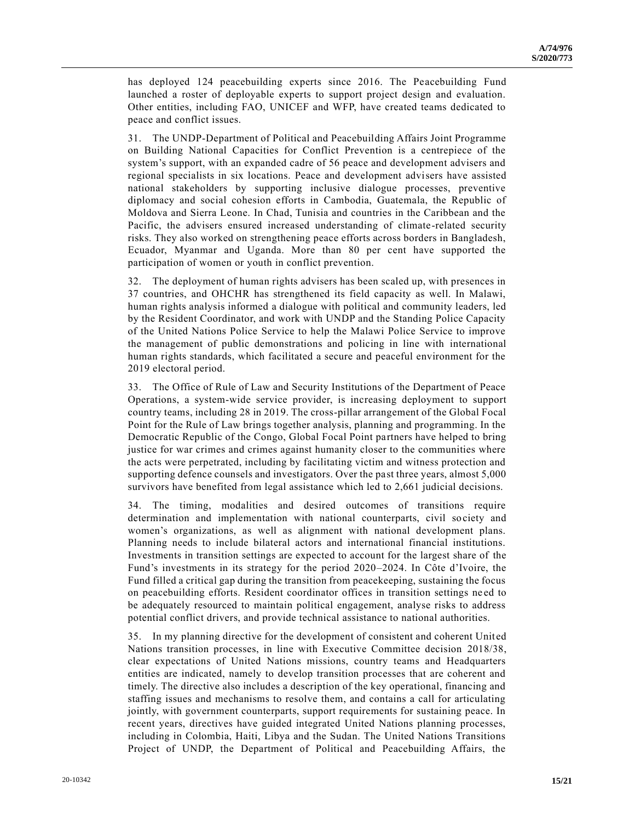has deployed 124 peacebuilding experts since 2016. The Peacebuilding Fund launched a roster of deployable experts to support project design and evaluation. Other entities, including FAO, UNICEF and WFP, have created teams dedicated to peace and conflict issues.

31. The UNDP-Department of Political and Peacebuilding Affairs Joint Programme on Building National Capacities for Conflict Prevention is a centrepiece of the system's support, with an expanded cadre of 56 peace and development advisers and regional specialists in six locations. Peace and development advisers have assisted national stakeholders by supporting inclusive dialogue processes, preventive diplomacy and social cohesion efforts in Cambodia, Guatemala, the Republic of Moldova and Sierra Leone. In Chad, Tunisia and countries in the Caribbean and the Pacific, the advisers ensured increased understanding of climate-related security risks. They also worked on strengthening peace efforts across borders in Bangladesh, Ecuador, Myanmar and Uganda. More than 80 per cent have supported the participation of women or youth in conflict prevention.

32. The deployment of human rights advisers has been scaled up, with presences in 37 countries, and OHCHR has strengthened its field capacity as well. In Malawi, human rights analysis informed a dialogue with political and community leaders, led by the Resident Coordinator, and work with UNDP and the Standing Police Capacity of the United Nations Police Service to help the Malawi Police Service to improve the management of public demonstrations and policing in line with international human rights standards, which facilitated a secure and peaceful environment for the 2019 electoral period.

33. The Office of Rule of Law and Security Institutions of the Department of Peace Operations, a system-wide service provider, is increasing deployment to support country teams, including 28 in 2019. The cross-pillar arrangement of the Global Focal Point for the Rule of Law brings together analysis, planning and programming. In the Democratic Republic of the Congo, Global Focal Point partners have helped to bring justice for war crimes and crimes against humanity closer to the communities where the acts were perpetrated, including by facilitating victim and witness protection and supporting defence counsels and investigators. Over the past three years, almost 5,000 survivors have benefited from legal assistance which led to 2,661 judicial decisions.

34. The timing, modalities and desired outcomes of transitions require determination and implementation with national counterparts, civil so ciety and women's organizations, as well as alignment with national development plans. Planning needs to include bilateral actors and international financial institutions. Investments in transition settings are expected to account for the largest share of the Fund's investments in its strategy for the period 2020–2024. In Côte d'Ivoire, the Fund filled a critical gap during the transition from peacekeeping, sustaining the focus on peacebuilding efforts. Resident coordinator offices in transition settings ne ed to be adequately resourced to maintain political engagement, analyse risks to address potential conflict drivers, and provide technical assistance to national authorities.

35. In my planning directive for the development of consistent and coherent Unit ed Nations transition processes, in line with Executive Committee decision 2018/38, clear expectations of United Nations missions, country teams and Headquarters entities are indicated, namely to develop transition processes that are coherent and timely. The directive also includes a description of the key operational, financing and staffing issues and mechanisms to resolve them, and contains a call for articulating jointly, with government counterparts, support requirements for sustaining peace. In recent years, directives have guided integrated United Nations planning processes, including in Colombia, Haiti, Libya and the Sudan. The United Nations Transitions Project of UNDP, the Department of Political and Peacebuilding Affairs, the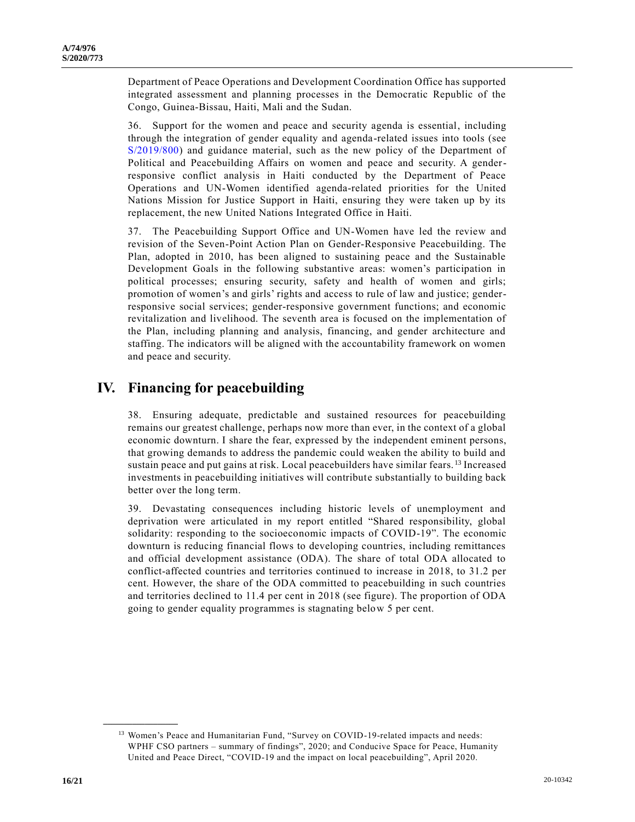Department of Peace Operations and Development Coordination Office has supported integrated assessment and planning processes in the Democratic Republic of the Congo, Guinea-Bissau, Haiti, Mali and the Sudan.

36. Support for the women and peace and security agenda is essential, including through the integration of gender equality and agenda-related issues into tools (see [S/2019/800\)](https://undocs.org/en/S/2019/800) and guidance material, such as the new policy of the Department of Political and Peacebuilding Affairs on women and peace and security. A genderresponsive conflict analysis in Haiti conducted by the Department of Peace Operations and UN-Women identified agenda-related priorities for the United Nations Mission for Justice Support in Haiti, ensuring they were taken up by its replacement, the new United Nations Integrated Office in Haiti.

37. The Peacebuilding Support Office and UN-Women have led the review and revision of the Seven-Point Action Plan on Gender-Responsive Peacebuilding. The Plan, adopted in 2010, has been aligned to sustaining peace and the Sustainable Development Goals in the following substantive areas: women's participation in political processes; ensuring security, safety and health of women and girls; promotion of women's and girls' rights and access to rule of law and justice; genderresponsive social services; gender-responsive government functions; and economic revitalization and livelihood. The seventh area is focused on the implementation of the Plan, including planning and analysis, financing, and gender architecture and staffing. The indicators will be aligned with the accountability framework on women and peace and security.

# **IV. Financing for peacebuilding**

38. Ensuring adequate, predictable and sustained resources for peacebuilding remains our greatest challenge, perhaps now more than ever, in the context of a global economic downturn. I share the fear, expressed by the independent eminent persons, that growing demands to address the pandemic could weaken the ability to build and sustain peace and put gains at risk. Local peacebuilders have similar fears. <sup>13</sup> Increased investments in peacebuilding initiatives will contribute substantially to building back better over the long term.

39. Devastating consequences including historic levels of unemployment and deprivation were articulated in my report entitled "Shared responsibility, global solidarity: responding to the socioeconomic impacts of COVID-19". The economic downturn is reducing financial flows to developing countries, including remittances and official development assistance (ODA). The share of total ODA allocated to conflict-affected countries and territories continued to increase in 2018, to 31.2 per cent. However, the share of the ODA committed to peacebuilding in such countries and territories declined to 11.4 per cent in 2018 (see figure). The proportion of ODA going to gender equality programmes is stagnating below 5 per cent.

<sup>&</sup>lt;sup>13</sup> Women's Peace and Humanitarian Fund, "Survey on COVID-19-related impacts and needs: WPHF CSO partners – summary of findings", 2020; and Conducive Space for Peace, Humanity United and Peace Direct, "COVID-19 and the impact on local peacebuilding", April 2020.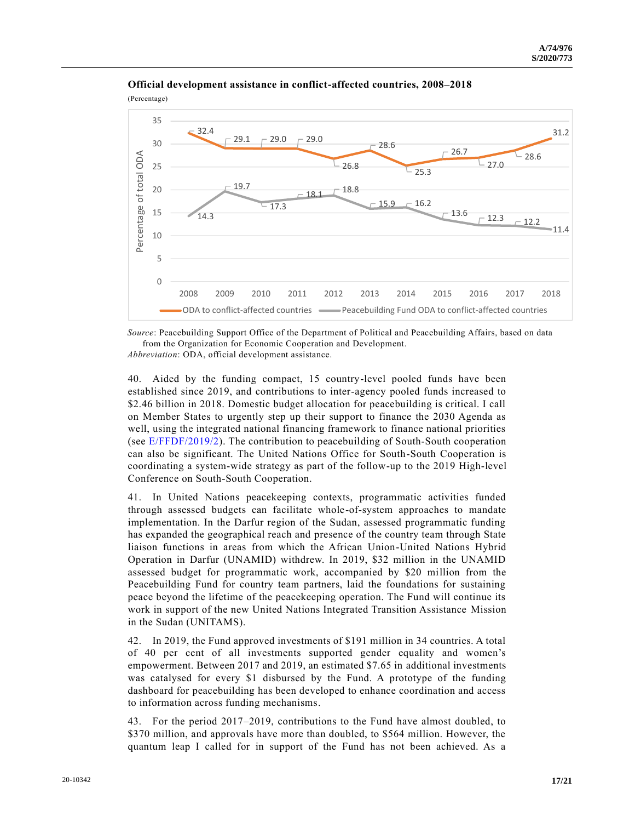

**Official development assistance in conflict-affected countries, 2008–2018**

*Source*: Peacebuilding Support Office of the Department of Political and Peacebuilding Affairs, based on data from the Organization for Economic Cooperation and Development.

*Abbreviation*: ODA, official development assistance.

40. Aided by the funding compact, 15 country-level pooled funds have been established since 2019, and contributions to inter-agency pooled funds increased to \$2.46 billion in 2018. Domestic budget allocation for peacebuilding is critical. I call on Member States to urgently step up their support to finance the 2030 Agenda as well, using the integrated national financing framework to finance national priorities (see [E/FFDF/2019/2\)](https://undocs.org/en/E/FFDF/2019/2). The contribution to peacebuilding of South-South cooperation can also be significant. The United Nations Office for South-South Cooperation is coordinating a system-wide strategy as part of the follow-up to the 2019 High-level Conference on South-South Cooperation.

41. In United Nations peacekeeping contexts, programmatic activities funded through assessed budgets can facilitate whole-of-system approaches to mandate implementation. In the Darfur region of the Sudan, assessed programmatic funding has expanded the geographical reach and presence of the country team through State liaison functions in areas from which the African Union-United Nations Hybrid Operation in Darfur (UNAMID) withdrew. In 2019, \$32 million in the UNAMID assessed budget for programmatic work, accompanied by \$20 million from the Peacebuilding Fund for country team partners, laid the foundations for sustaining peace beyond the lifetime of the peacekeeping operation. The Fund will continue its work in support of the new United Nations Integrated Transition Assistance Mission in the Sudan (UNITAMS).

42. In 2019, the Fund approved investments of \$191 million in 34 countries. A total of 40 per cent of all investments supported gender equality and women's empowerment. Between 2017 and 2019, an estimated \$7.65 in additional investments was catalysed for every \$1 disbursed by the Fund. A prototype of the funding dashboard for peacebuilding has been developed to enhance coordination and access to information across funding mechanisms.

43. For the period 2017–2019, contributions to the Fund have almost doubled, to \$370 million, and approvals have more than doubled, to \$564 million. However, the quantum leap I called for in support of the Fund has not been achieved. As a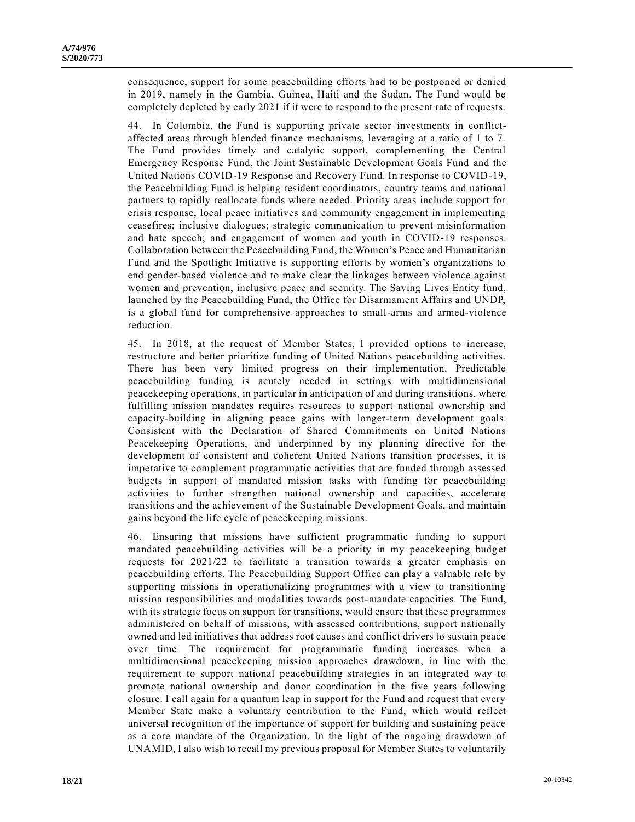consequence, support for some peacebuilding efforts had to be postponed or denied in 2019, namely in the Gambia, Guinea, Haiti and the Sudan. The Fund would be completely depleted by early 2021 if it were to respond to the present rate of requests.

44. In Colombia, the Fund is supporting private sector investments in conflictaffected areas through blended finance mechanisms, leveraging at a ratio of 1 to 7. The Fund provides timely and catalytic support, complementing the Central Emergency Response Fund, the Joint Sustainable Development Goals Fund and the United Nations COVID-19 Response and Recovery Fund. In response to COVID-19, the Peacebuilding Fund is helping resident coordinators, country teams and national partners to rapidly reallocate funds where needed. Priority areas include support for crisis response, local peace initiatives and community engagement in implementing ceasefires; inclusive dialogues; strategic communication to prevent misinformation and hate speech; and engagement of women and youth in COVID-19 responses. Collaboration between the Peacebuilding Fund, the Women's Peace and Humanitarian Fund and the Spotlight Initiative is supporting efforts by women's organizations to end gender-based violence and to make clear the linkages between violence against women and prevention, inclusive peace and security. The Saving Lives Entity fund, launched by the Peacebuilding Fund, the Office for Disarmament Affairs and UNDP, is a global fund for comprehensive approaches to small-arms and armed-violence reduction.

45. In 2018, at the request of Member States, I provided options to increase, restructure and better prioritize funding of United Nations peacebuilding activities. There has been very limited progress on their implementation. Predictable peacebuilding funding is acutely needed in settings with multidimensional peacekeeping operations, in particular in anticipation of and during transitions, where fulfilling mission mandates requires resources to support national ownership and capacity-building in aligning peace gains with longer-term development goals. Consistent with the Declaration of Shared Commitments on United Nations Peacekeeping Operations, and underpinned by my planning directive for the development of consistent and coherent United Nations transition processes, it is imperative to complement programmatic activities that are funded through assessed budgets in support of mandated mission tasks with funding for peacebuilding activities to further strengthen national ownership and capacities, accelerate transitions and the achievement of the Sustainable Development Goals, and maintain gains beyond the life cycle of peacekeeping missions.

46. Ensuring that missions have sufficient programmatic funding to support mandated peacebuilding activities will be a priority in my peacekeeping budget requests for 2021/22 to facilitate a transition towards a greater emphasis on peacebuilding efforts. The Peacebuilding Support Office can play a valuable role by supporting missions in operationalizing programmes with a view to transitioning mission responsibilities and modalities towards post-mandate capacities. The Fund, with its strategic focus on support for transitions, would ensure that these programmes administered on behalf of missions, with assessed contributions, support nationally owned and led initiatives that address root causes and conflict drivers to sustain peace over time. The requirement for programmatic funding increases when a multidimensional peacekeeping mission approaches drawdown, in line with the requirement to support national peacebuilding strategies in an integrated way to promote national ownership and donor coordination in the five years following closure. I call again for a quantum leap in support for the Fund and request that every Member State make a voluntary contribution to the Fund, which would reflect universal recognition of the importance of support for building and sustaining peace as a core mandate of the Organization. In the light of the ongoing drawdown of UNAMID, I also wish to recall my previous proposal for Member States to voluntarily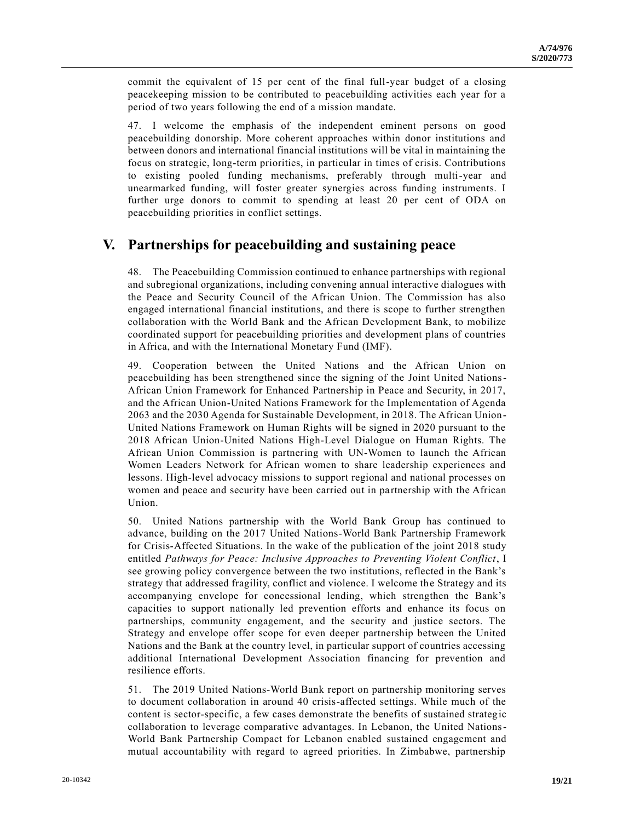commit the equivalent of 15 per cent of the final full-year budget of a closing peacekeeping mission to be contributed to peacebuilding activities each year for a period of two years following the end of a mission mandate.

47. I welcome the emphasis of the independent eminent persons on good peacebuilding donorship. More coherent approaches within donor institutions and between donors and international financial institutions will be vital in maintaining the focus on strategic, long-term priorities, in particular in times of crisis. Contributions to existing pooled funding mechanisms, preferably through multi-year and unearmarked funding, will foster greater synergies across funding instruments. I further urge donors to commit to spending at least 20 per cent of ODA on peacebuilding priorities in conflict settings.

## **V. Partnerships for peacebuilding and sustaining peace**

48. The Peacebuilding Commission continued to enhance partnerships with regional and subregional organizations, including convening annual interactive dialogues with the Peace and Security Council of the African Union. The Commission has also engaged international financial institutions, and there is scope to further strengthen collaboration with the World Bank and the African Development Bank, to mobilize coordinated support for peacebuilding priorities and development plans of countries in Africa, and with the International Monetary Fund (IMF).

49. Cooperation between the United Nations and the African Union on peacebuilding has been strengthened since the signing of the Joint United Nations-African Union Framework for Enhanced Partnership in Peace and Security, in 2017, and the African Union-United Nations Framework for the Implementation of Agenda 2063 and the 2030 Agenda for Sustainable Development, in 2018. The African Union-United Nations Framework on Human Rights will be signed in 2020 pursuant to the 2018 African Union-United Nations High-Level Dialogue on Human Rights. The African Union Commission is partnering with UN-Women to launch the African Women Leaders Network for African women to share leadership experiences and lessons. High-level advocacy missions to support regional and national processes on women and peace and security have been carried out in partnership with the African Union.

50. United Nations partnership with the World Bank Group has continued to advance, building on the 2017 United Nations-World Bank Partnership Framework for Crisis-Affected Situations. In the wake of the publication of the joint 2018 study entitled *Pathways for Peace: Inclusive Approaches to Preventing Violent Conflict*, I see growing policy convergence between the two institutions, reflected in the Bank's strategy that addressed fragility, conflict and violence. I welcome the Strategy and its accompanying envelope for concessional lending, which strengthen the Bank's capacities to support nationally led prevention efforts and enhance its focus on partnerships, community engagement, and the security and justice sectors. The Strategy and envelope offer scope for even deeper partnership between the United Nations and the Bank at the country level, in particular support of countries accessing additional International Development Association financing for prevention and resilience efforts.

51. The 2019 United Nations-World Bank report on partnership monitoring serves to document collaboration in around 40 crisis-affected settings. While much of the content is sector-specific, a few cases demonstrate the benefits of sustained strategic collaboration to leverage comparative advantages. In Lebanon, the United Nations-World Bank Partnership Compact for Lebanon enabled sustained engagement and mutual accountability with regard to agreed priorities. In Zimbabwe, partnership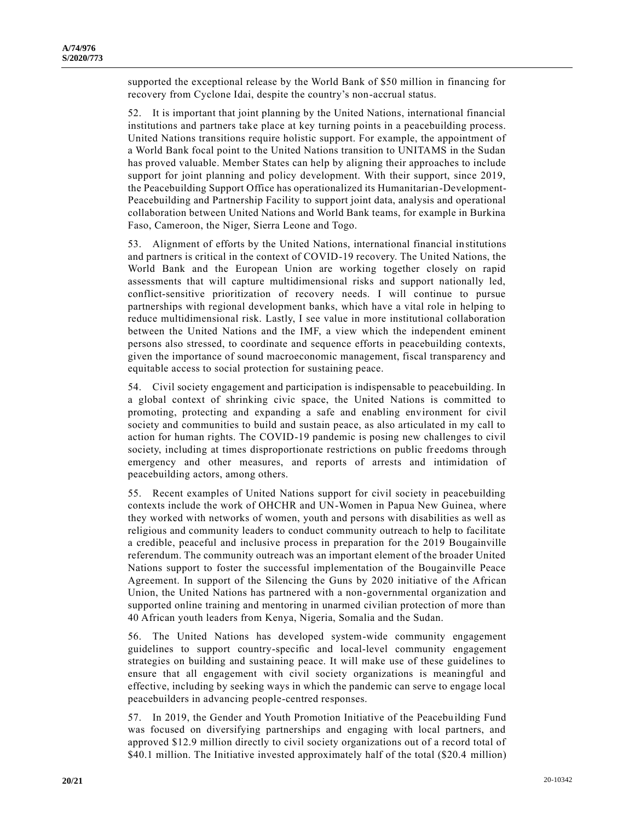supported the exceptional release by the World Bank of \$50 million in financing for recovery from Cyclone Idai, despite the country's non-accrual status.

52. It is important that joint planning by the United Nations, international financial institutions and partners take place at key turning points in a peacebuilding process. United Nations transitions require holistic support. For example, the appointment of a World Bank focal point to the United Nations transition to UNITAMS in the Sudan has proved valuable. Member States can help by aligning their approaches to include support for joint planning and policy development. With their support, since 2019, the Peacebuilding Support Office has operationalized its Humanitarian-Development-Peacebuilding and Partnership Facility to support joint data, analysis and operational collaboration between United Nations and World Bank teams, for example in Burkina Faso, Cameroon, the Niger, Sierra Leone and Togo.

53. Alignment of efforts by the United Nations, international financial in stitutions and partners is critical in the context of COVID-19 recovery. The United Nations, the World Bank and the European Union are working together closely on rapid assessments that will capture multidimensional risks and support nationally led, conflict-sensitive prioritization of recovery needs. I will continue to pursue partnerships with regional development banks, which have a vital role in helping to reduce multidimensional risk. Lastly, I see value in more institutional collaboration between the United Nations and the IMF, a view which the independent eminent persons also stressed, to coordinate and sequence efforts in peacebuilding contexts, given the importance of sound macroeconomic management, fiscal transparency and equitable access to social protection for sustaining peace.

54. Civil society engagement and participation is indispensable to peacebuilding. In a global context of shrinking civic space, the United Nations is committed to promoting, protecting and expanding a safe and enabling environment for civil society and communities to build and sustain peace, as also articulated in my call to action for human rights. The COVID-19 pandemic is posing new challenges to civil society, including at times disproportionate restrictions on public freedoms through emergency and other measures, and reports of arrests and intimidation of peacebuilding actors, among others.

55. Recent examples of United Nations support for civil society in peacebuilding contexts include the work of OHCHR and UN-Women in Papua New Guinea, where they worked with networks of women, youth and persons with disabilities as well as religious and community leaders to conduct community outreach to help to facilitate a credible, peaceful and inclusive process in preparation for the 2019 Bougainville referendum. The community outreach was an important element of the broader United Nations support to foster the successful implementation of the Bougainville Peace Agreement. In support of the Silencing the Guns by 2020 initiative of the African Union, the United Nations has partnered with a non-governmental organization and supported online training and mentoring in unarmed civilian protection of more than 40 African youth leaders from Kenya, Nigeria, Somalia and the Sudan.

56. The United Nations has developed system-wide community engagement guidelines to support country-specific and local-level community engagement strategies on building and sustaining peace. It will make use of these guidelines to ensure that all engagement with civil society organizations is meaningful and effective, including by seeking ways in which the pandemic can serve to engage local peacebuilders in advancing people-centred responses.

57. In 2019, the Gender and Youth Promotion Initiative of the Peacebuilding Fund was focused on diversifying partnerships and engaging with local partners, and approved \$12.9 million directly to civil society organizations out of a record total of \$40.1 million. The Initiative invested approximately half of the total (\$20.4 million)